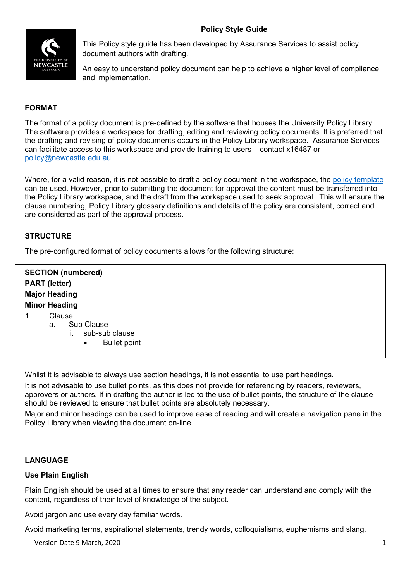

This Policy style guide has been developed by Assurance Services to assist policy document authors with drafting.

An easy to understand policy document can help to achieve a higher level of compliance and implementation.

# **FORMAT**

The format of a policy document is pre-defined by the software that houses the University Policy Library. The software provides a workspace for drafting, editing and reviewing policy documents. It is preferred that the drafting and revising of policy documents occurs in the Policy Library workspace. Assurance Services can facilitate access to this workspace and provide training to users – contact x16487 or [policy@newcastle.edu.au.](mailto:policy@newcastle.edu.au)

Where, for a valid reason, it is not possible to draft a policy document in the workspace, the [policy template](https://policies.newcastle.edu.au/document/associated-information.php?id=98) can be used. However, prior to submitting the document for approval the content must be transferred into the Policy Library workspace, and the draft from the workspace used to seek approval. This will ensure the clause numbering, Policy Library glossary definitions and details of the policy are consistent, correct and are considered as part of the approval process.

## **STRUCTURE**

The pre-configured format of policy documents allows for the following structure:

**SECTION (numbered) PART (letter) Major Heading Minor Heading** 1. Clause a. Sub Clause i. sub-sub clause **Bullet point** 

Whilst it is advisable to always use section headings, it is not essential to use part headings.

It is not advisable to use bullet points, as this does not provide for referencing by readers, reviewers, approvers or authors. If in drafting the author is led to the use of bullet points, the structure of the clause should be reviewed to ensure that bullet points are absolutely necessary.

Major and minor headings can be used to improve ease of reading and will create a navigation pane in the Policy Library when viewing the document on-line.

### **LANGUAGE**

#### **Use Plain English**

Plain English should be used at all times to ensure that any reader can understand and comply with the content, regardless of their level of knowledge of the subject.

Avoid jargon and use every day familiar words.

Avoid marketing terms, aspirational statements, trendy words, colloquialisms, euphemisms and slang.

Version Date 9 March, 2020 **1 1**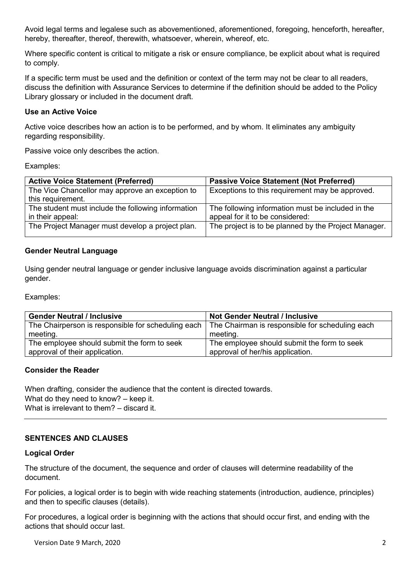Avoid legal terms and legalese such as abovementioned, aforementioned, foregoing, henceforth, hereafter, hereby, thereafter, thereof, therewith, whatsoever, wherein, whereof, etc.

Where specific content is critical to mitigate a risk or ensure compliance, be explicit about what is required to comply.

If a specific term must be used and the definition or context of the term may not be clear to all readers, discuss the definition with Assurance Services to determine if the definition should be added to the Policy Library glossary or included in the document draft.

### **Use an Active Voice**

Active voice describes how an action is to be performed, and by whom. It eliminates any ambiguity regarding responsibility.

Passive voice only describes the action.

Examples:

| <b>Active Voice Statement (Preferred)</b>          | <b>Passive Voice Statement (Not Preferred)</b>       |
|----------------------------------------------------|------------------------------------------------------|
| The Vice Chancellor may approve an exception to    | Exceptions to this requirement may be approved.      |
| this requirement.                                  |                                                      |
| The student must include the following information | The following information must be included in the    |
| in their appeal:                                   | appeal for it to be considered:                      |
| The Project Manager must develop a project plan.   | The project is to be planned by the Project Manager. |
|                                                    |                                                      |

#### **Gender Neutral Language**

Using gender neutral language or gender inclusive language avoids discrimination against a particular gender.

Examples:

| <b>Gender Neutral / Inclusive</b>                  | <b>Not Gender Neutral / Inclusive</b>           |
|----------------------------------------------------|-------------------------------------------------|
| The Chairperson is responsible for scheduling each | The Chairman is responsible for scheduling each |
| meeting.                                           | meeting.                                        |
| The employee should submit the form to seek        | The employee should submit the form to seek     |
| approval of their application.                     | approval of her/his application.                |

#### **Consider the Reader**

When drafting, consider the audience that the content is directed towards. What do they need to know? – keep it. What is irrelevant to them? – discard it.

# **SENTENCES AND CLAUSES**

#### **Logical Order**

The structure of the document, the sequence and order of clauses will determine readability of the document.

For policies, a logical order is to begin with wide reaching statements (introduction, audience, principles) and then to specific clauses (details).

For procedures, a logical order is beginning with the actions that should occur first, and ending with the actions that should occur last.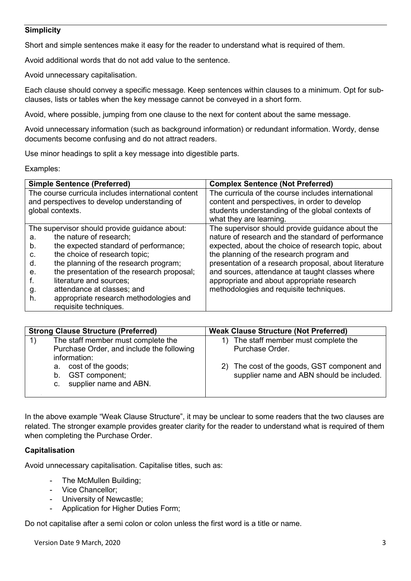### **Simplicity**

Short and simple sentences make it easy for the reader to understand what is required of them.

Avoid additional words that do not add value to the sentence.

Avoid unnecessary capitalisation.

Each clause should convey a specific message. Keep sentences within clauses to a minimum. Opt for subclauses, lists or tables when the key message cannot be conveyed in a short form.

Avoid, where possible, jumping from one clause to the next for content about the same message.

Avoid unnecessary information (such as background information) or redundant information. Wordy, dense documents become confusing and do not attract readers.

Use minor headings to split a key message into digestible parts.

Examples:

|    | <b>Simple Sentence (Preferred)</b>                  | <b>Complex Sentence (Not Preferred)</b>               |  |  |
|----|-----------------------------------------------------|-------------------------------------------------------|--|--|
|    | The course curricula includes international content | The curricula of the course includes international    |  |  |
|    | and perspectives to develop understanding of        | content and perspectives, in order to develop         |  |  |
|    | global contexts.                                    | students understanding of the global contexts of      |  |  |
|    |                                                     | what they are learning.                               |  |  |
|    | The supervisor should provide guidance about:       | The supervisor should provide guidance about the      |  |  |
| a. | the nature of research;                             | nature of research and the standard of performance    |  |  |
| b. | the expected standard of performance;               | expected, about the choice of research topic, about   |  |  |
| C. | the choice of research topic;                       | the planning of the research program and              |  |  |
| d. | the planning of the research program;               | presentation of a research proposal, about literature |  |  |
| е. | the presentation of the research proposal;          | and sources, attendance at taught classes where       |  |  |
| T. | literature and sources;                             | appropriate and about appropriate research            |  |  |
| g. | attendance at classes; and                          | methodologies and requisite techniques.               |  |  |
| h. | appropriate research methodologies and              |                                                       |  |  |
|    | requisite techniques.                               |                                                       |  |  |

| <b>Strong Clause Structure (Preferred)</b>                                                      | <b>Weak Clause Structure (Not Preferred)</b>                                             |
|-------------------------------------------------------------------------------------------------|------------------------------------------------------------------------------------------|
| The staff member must complete the<br>Purchase Order, and include the following<br>information: | The staff member must complete the<br>Purchase Order.                                    |
| a. cost of the goods;<br>GST component;<br>b.<br>c. supplier name and ABN.                      | 2) The cost of the goods, GST component and<br>supplier name and ABN should be included. |

In the above example "Weak Clause Structure", it may be unclear to some readers that the two clauses are related. The stronger example provides greater clarity for the reader to understand what is required of them when completing the Purchase Order.

#### **Capitalisation**

Avoid unnecessary capitalisation. Capitalise titles, such as:

- The McMullen Building;
- Vice Chancellor;
- University of Newcastle;
- Application for Higher Duties Form;

Do not capitalise after a semi colon or colon unless the first word is a title or name.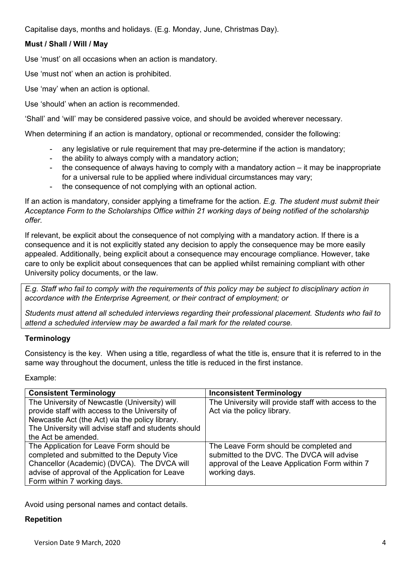Capitalise days, months and holidays. (E.g. Monday, June, Christmas Day).

# **Must / Shall / Will / May**

Use 'must' on all occasions when an action is mandatory.

Use 'must not' when an action is prohibited.

Use 'may' when an action is optional.

Use 'should' when an action is recommended.

'Shall' and 'will' may be considered passive voice, and should be avoided wherever necessary.

When determining if an action is mandatory, optional or recommended, consider the following:

- any legislative or rule requirement that may pre-determine if the action is mandatory;
- the ability to always comply with a mandatory action;
- the consequence of always having to comply with a mandatory action it may be inappropriate for a universal rule to be applied where individual circumstances may vary;
- the consequence of not complying with an optional action.

If an action is mandatory, consider applying a timeframe for the action. *E.g. The student must submit their Acceptance Form to the Scholarships Office within 21 working days of being notified of the scholarship offer.*

If relevant, be explicit about the consequence of not complying with a mandatory action. If there is a consequence and it is not explicitly stated any decision to apply the consequence may be more easily appealed. Additionally, being explicit about a consequence may encourage compliance. However, take care to only be explicit about consequences that can be applied whilst remaining compliant with other University policy documents, or the law.

*E.g. Staff who fail to comply with the requirements of this policy may be subject to disciplinary action in accordance with the Enterprise Agreement, or their contract of employment; or*

*Students must attend all scheduled interviews regarding their professional placement. Students who fail to attend a scheduled interview may be awarded a fail mark for the related course.*

# **Terminology**

Consistency is the key. When using a title, regardless of what the title is, ensure that it is referred to in the same way throughout the document, unless the title is reduced in the first instance.

Example:

| <b>Consistent Terminology</b>                        | <b>Inconsistent Terminology</b>                      |
|------------------------------------------------------|------------------------------------------------------|
| The University of Newcastle (University) will        | The University will provide staff with access to the |
| provide staff with access to the University of       | Act via the policy library.                          |
| Newcastle Act (the Act) via the policy library.      |                                                      |
| The University will advise staff and students should |                                                      |
| the Act be amended.                                  |                                                      |
| The Application for Leave Form should be             | The Leave Form should be completed and               |
| completed and submitted to the Deputy Vice           | submitted to the DVC. The DVCA will advise           |
| Chancellor (Academic) (DVCA). The DVCA will          | approval of the Leave Application Form within 7      |
| advise of approval of the Application for Leave      | working days.                                        |
| Form within 7 working days.                          |                                                      |

Avoid using personal names and contact details.

# **Repetition**